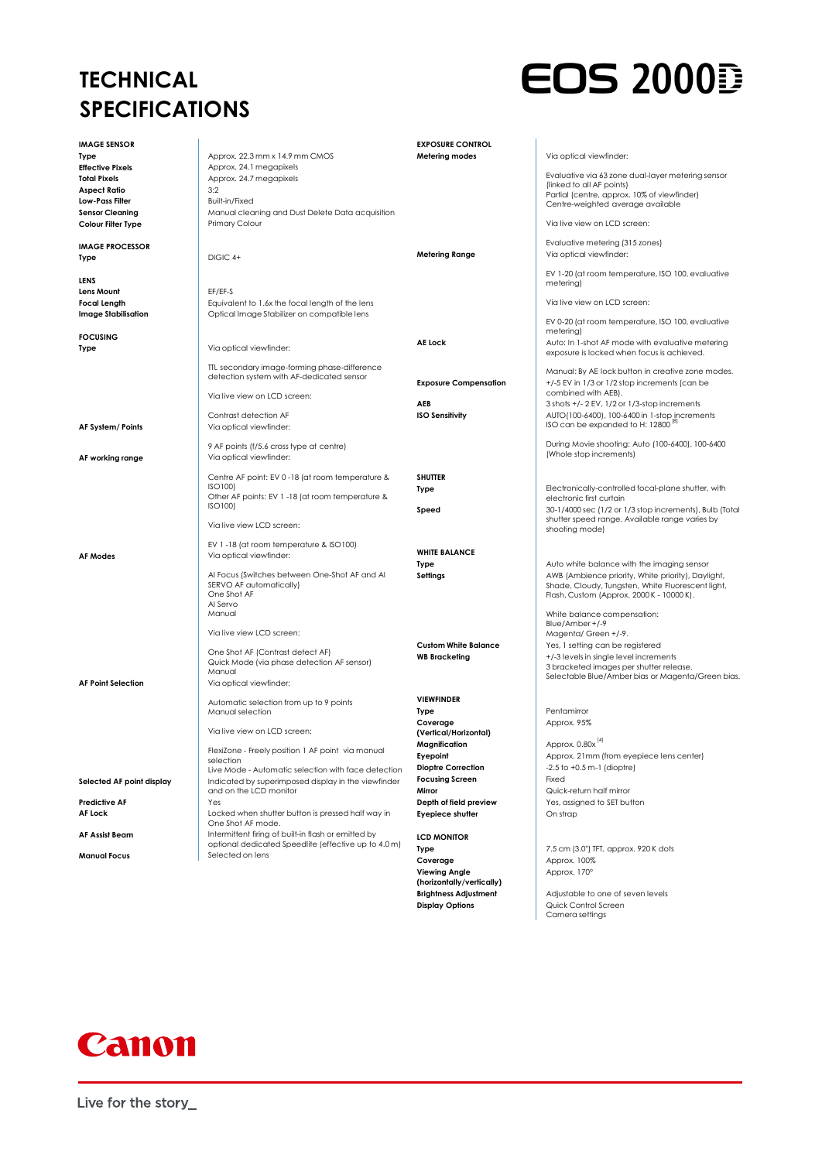## **TECHNICAL SPECIFICATIONS**



| <b>IMAGE SENSOR</b>        |                                                                                                            | <b>EXPOSURE CONTROL</b>      |                                                                          |
|----------------------------|------------------------------------------------------------------------------------------------------------|------------------------------|--------------------------------------------------------------------------|
| Type                       | Approx. 22.3 mm x 14.9 mm CMOS                                                                             | Metering modes               | Via optical viewfinder:                                                  |
| <b>Effective Pixels</b>    | Approx. 24.1 megapixels                                                                                    |                              |                                                                          |
| <b>Total Pixels</b>        | Approx. 24.7 megapixels                                                                                    |                              | Evaluative via 63 zone dual-layer metering sensor                        |
| <b>Aspect Ratio</b>        | 3:2                                                                                                        |                              | (linked to all AF points)<br>Partial (centre, approx. 10% of viewfinder) |
| Low-Pass Filter            | Built-in/Fixed                                                                                             |                              | Centre-weighted average available                                        |
| <b>Sensor Cleaning</b>     | Manual cleaning and Dust Delete Data acquisition                                                           |                              |                                                                          |
| Colour Filter Type         | Primary Colour                                                                                             |                              | Via live view on LCD screen:                                             |
| <b>IMAGE PROCESSOR</b>     |                                                                                                            |                              | Evaluative metering (315 zones)                                          |
| Type                       | DIGIC 4+                                                                                                   | Metering Range               | Via optical viewfinder:                                                  |
|                            |                                                                                                            |                              |                                                                          |
| LENS                       |                                                                                                            |                              | EV 1-20 (at room temperature, ISO 100, evaluative                        |
| Lens Mount                 | EF/EF-S                                                                                                    |                              | metering)                                                                |
| <b>Focal Length</b>        | Equivalent to 1.6x the focal length of the lens                                                            |                              | Via live view on LCD screen:                                             |
| <b>Image Stabilisation</b> | Optical Image Stabilizer on compatible lens                                                                |                              |                                                                          |
|                            |                                                                                                            |                              | EV 0-20 (at room temperature, ISO 100, evaluative                        |
| <b>FOCUSING</b>            |                                                                                                            |                              | metering)                                                                |
| Type                       | Via optical viewfinder:                                                                                    | <b>AE Lock</b>               | Auto: In 1-shot AF mode with evaluative metering                         |
|                            |                                                                                                            |                              | exposure is locked when focus is achieved.                               |
|                            | TIL secondary image-forming phase-difference                                                               |                              | Manual: By AE lock button in creative zone modes.                        |
|                            | detection system with AF-dedicated sensor                                                                  | <b>Exposure Compensation</b> | +/-5 EV in 1/3 or 1/2 stop increments (can be                            |
|                            | Via live view on LCD screen:                                                                               |                              | combined with AEB).                                                      |
|                            |                                                                                                            | AEB                          | 3 shots +/- 2 EV, 1/2 or 1/3-stop increments                             |
|                            | Contrast detection AF                                                                                      | <b>ISO Sensitivity</b>       | AUTO(100-6400), 100-6400 in 1-stop increments                            |
| AF System/ Points          | Via optical viewfinder:                                                                                    |                              | ISO can be expanded to H: 12800 <sup>101</sup>                           |
|                            |                                                                                                            |                              | During Movie shooting: Auto (100-6400), 100-6400                         |
|                            | 9 AF points (f/5.6 cross type at centre)                                                                   |                              | (Whole stop increments)                                                  |
| AF working range           | Via optical viewfinder:                                                                                    |                              |                                                                          |
|                            | Centre AF point: EV 0-18 (at room temperature &                                                            | <b>SHUTTER</b>               |                                                                          |
|                            | ISO100)                                                                                                    | Type                         | Electronically-controlled focal-plane shutter, with                      |
|                            | Other AF points: EV 1 -18 (at room temperature &                                                           |                              | electronic first curtain                                                 |
|                            | ISO100)                                                                                                    | Speed                        | 30-1/4000 sec (1/2 or 1/3 stop increments), Bulb (Total                  |
|                            | Via live view LCD screen:                                                                                  |                              | shutter speed range. Available range varies by                           |
|                            |                                                                                                            |                              | shooting mode)                                                           |
|                            | EV 1-18 (at room temperature & ISO100)                                                                     |                              |                                                                          |
| <b>AF Modes</b>            | Via optical viewfinder:                                                                                    | <b>WHITE BALANCE</b>         |                                                                          |
|                            |                                                                                                            | Type                         | Auto white balance with the imaging sensor                               |
|                            | Al Focus (Switches between One-Shot AF and Al                                                              | Settings                     | AWB (Ambience priority, White priority), Daylight,                       |
|                            | SERVO AF automatically)<br>One Shot AF                                                                     |                              | Shade, Cloudy, Tungsten, White Fluorescent light,                        |
|                            | Al Servo                                                                                                   |                              | Flash, Custom (Approx. 2000 K - 10000 K).                                |
|                            | Manual                                                                                                     |                              | White balance compensation:                                              |
|                            |                                                                                                            |                              | Blue/Amber +/-9                                                          |
|                            | Via live view LCD screen:                                                                                  |                              | Magenta/ Green +/-9.                                                     |
|                            | One Shot AF (Contrast detect AF)                                                                           | <b>Custom White Balance</b>  | Yes, I setting can be registered                                         |
|                            | Quick Mode (via phase detection AF sensor)                                                                 | <b>WB Bracketing</b>         | +/-3 levels in single level increments                                   |
|                            | Manual                                                                                                     |                              | 3 bracketed images per shutter release.                                  |
| <b>AF Point Selection</b>  | Via optical viewfinder:                                                                                    |                              | Selectable Blue/Amber bias or Magenta/Green bias.                        |
|                            |                                                                                                            | <b>VIEWFINDER</b>            |                                                                          |
|                            | Automatic selection from up to 9 points<br>Manual selection                                                | Type                         | Pentamirror                                                              |
|                            |                                                                                                            | Coverage                     | Approx. 95%                                                              |
|                            | Via live view on LCD screen:                                                                               | (Vertical/Horizontal)        |                                                                          |
|                            |                                                                                                            | Magnification                | Approx. 0.80x <sup>[4]</sup>                                             |
|                            | FlexiZone - Freely position 1 AF point via manual                                                          | Eyepoint                     | Approx. 21mm (from eyepiece lens center)                                 |
|                            | selection                                                                                                  | <b>Dioptre Correction</b>    | $-2.5$ to $+0.5$ m $-1$ (dioptre)                                        |
|                            | Live Mode - Automatic selection with face detection<br>Indicated by superimposed display in the viewfinder | <b>Focusing Screen</b>       | Fixed                                                                    |
| Selected AF point display  | and on the LCD monitor                                                                                     | Mirror                       | Quick-return half mirror                                                 |
| <b>Predictive AF</b>       | Yes                                                                                                        | Depth of field preview       | Yes, assigned to SET button                                              |
| <b>AF Lock</b>             | Locked when shutter button is pressed half way in                                                          | <b>Eyepiece shutter</b>      | On strap                                                                 |
|                            | One Shot AF mode.                                                                                          |                              |                                                                          |
| AF Assist Beam             | Intermittent firing of built-in flash or emitted by                                                        | <b>LCD MONITOR</b>           |                                                                          |
|                            | optional dedicated Speedlite (effective up to 4.0 m)                                                       | Type                         | 7.5 cm (3.0") TFT, approx. 920 K dots                                    |
| <b>Manual Focus</b>        | Selected on lens                                                                                           | Coverage                     | Approx. 100%                                                             |

**Viewing Angle (horizontally/vertically)**

**Brightness Adjustment** Adjustable to one of seven levels **Display Options** Quick Control Screen Camera settings

Approx. 170°



Live for the story\_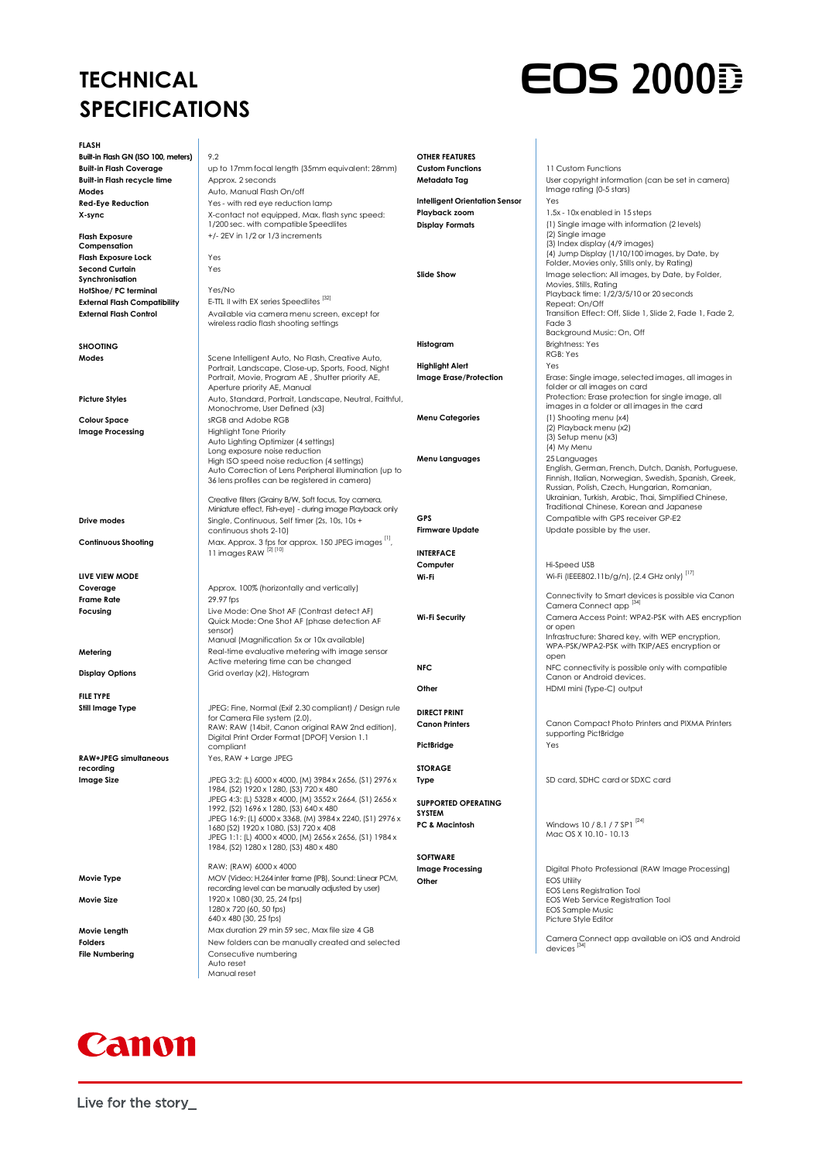## **TECHNICAL SPECIFICATIONS**



**FLASH Built-in Flash GN (ISO 100, meters)** 9.2 **Built-in Flash Coverage** up to 17mm focal length (35mm equivalent: 28mm) **Built-in Flash recycle time** Approx. 2 seconds **Modes** Auto, Manual Flash On/off **Red-Eve Reduction Red-Eve Reduction X-sync** X-contact not equipped, Max. flash sync speed: 1/200 sec. with compatible Speedlites **Flash Exposure Compensation** +/- 2EV in 1/2 or 1/3 increments **Flash Exposure Lock** Yes **Second Curtain Synchronisation** Yes **HotShoe/ PC terminal** Yes/No **External Flash Compatibility** E-TTL II with EX series Speedlites [32]<br> **External Flash Control** Available via camera menu scree **External Flash Control** Available via camera menu screen, except for wireless radio flash shooting settings **SHOOTING Modes** Scene Intelligent Auto, No Flash, Creative Auto, Portrait, Landscape, Close-up, Sports, Food, Night Portrait, Movie, Program AE , Shutter priority AE, Aperture priority AE, Manual Picture Styles **Auto, Standard, Portrait, Landscape, Neutral, Faithful,** Monochrome, User Defined (x3) **Colour Space** strategy strategy strategy space strategy space strategy space strategy space strategy space strategy space strategy space strategy space strategy space strategy space strategy space strategy space strategy **Image Processing**<br>
Auto Lighting Optimizer (4 settings) Long exposure noise reduction High ISO speed noise reduction (4 settings) Auto Correction of Lens Peripheral illumination (up to 36 lens profiles can be registered in camera) Creative filters (Grainy B/W, Soft focus, Toy camera, Miniature effect, Fish-eye) - during image Playback only **Drive modes** Single, Continuous, Self timer (2s, 10s, 10s, + continuous shots 2-10) **Continuous Shooting** Max. Approx. 3 fps for approx. 150 JPEG images <sup>[1]</sup>, <br>
11 images RAW <sup>[2] [10]</sup> **LIVE VIEW MODE Coverage Approx. 100% (horizontally and vertically)** Approx. 100% (horizontally and vertically) **Frame Rate** 29.97 fps<br>**Focusing** Live Moc **Focusing** Live Mode: One Shot AF (Contrast detect AF) Quick Mode: One Shot AF (phase detection AF sensor) Manual (Magnification 5x or 10x available) **Metering** Real-time evaluative metering with image sensor Active metering time can be changed **Display Options** Grid overlay (x2), Histogram **FILE TYPE Still Image Type** JPEG: Fine, Normal (Exif 2.30 compliant) / Design rule for Camera File system (2.0), RAW: RAW (14bit, Canon original RAW 2nd edition), Digital Print Order Format [DPOF] Version 1.1 compliant **RAW+JPEG simultaneous recording** Yes, RAW + Large JPEG **Image Size** JPEG 3:2: (L) 6000 x 4000, (M) 3984 x 2656, (S1) 2976 x 1984, (S2) 1920 x 1280, (S3) 720 x 480 JPEG 4:3: (L) 5328 x 4000, (M) 3552 x 2664, (S1) 2656 x 1992, (S2) 1696 x 1280, (S3) 640 x 480 JPEG 16:9: (L) 6000 x 3368, (M) 3984 x 2240, (S1) 2976 x 1680 (S2) 1920 x 1080, (S3) 720 x 408 JPEG 1:1: (L) 4000 x 4000, (M) 2656 x 2656, (S1) 1984 x 1984, (S2) 1280 x 1280, (S3) 480 x 480 RAW: (RAW) 6000 x 4000 **Movie Type** MOV (Video: H.264 inter frame (IPB), Sound: Linear PCM, recording level can be manually adjusted by user) **Movie Size** 1920 x 1080 (30, 25, 24 fps) 1280 x 720 (60, 50 fps) 640 x 480 (30, 25 fps) **Movie Length** Max duration 29 min 59 sec, Max file size 4 GB **Folders Example 20** New folders can be manually created and selected **File Numbering** Consecutive numbering Auto reset **OTHER FEATURES Custom Functions** 11 Custom Functions **Metadata Tag** User copyright information (can be set in camera)<br>| Image rating (0-5 stars) **Intelligent Orientation Sensor** Yes **Playback zoom** 1.5x - 10x enabled in 15 steps **Display Formats** (1) Single image with information (2 levels) Fade 3 **Histogram** Brightness: Yes RGB: Yes **Highlight Alert** Yes **Menu Categories** (1) Shooting menu (x4) **Menu Languages** 25 Languages **GPS** Compatible with GPS receiver GP-E2 **Firmware Update** Update possible by the user. **INTERFACE Computer** Hi-Speed USB **Wi-Fi Wi-Fi** (IEEE802.11b/g/n), (2.4 GHz only)<sup>[17]</sup> or open open **Other HDMI mini (Type-C)** output **DIRECT PRINT PictBridge** Yes **STORAGE Type** SD card, SDHC card or SDXC card **SUPPORTED OPERATING SYSTEM PC & Macintosh** Windows 10 / 8.1 / 7 SP1<sup>[24]</sup> Mac OS X 10.10 - 10.13 **SOFTWARE Image Processing Digital Photo Professional (RAW Image Processing) Other** EOS Utility<br>
EOS Lens Registration Tool



EOS Web Service Registration Tool EOS Sample Music Picture Style Editor

Camera Connect app available on iOS and Android devices [34]



Manual reset